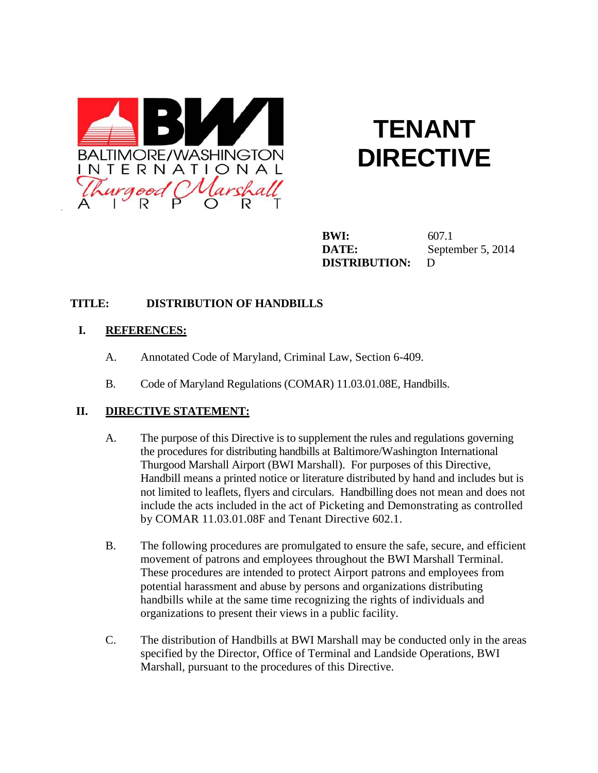

# **TENANT DIRECTIVE**

**BWI:** 607.1 **DATE:** September 5, 2014 **DISTRIBUTION:** D

## **TITLE: DISTRIBUTION OF HANDBILLS**

### **I. REFERENCES:**

- A. Annotated Code of Maryland, Criminal Law, Section 6-409.
- B. Code of Maryland Regulations (COMAR) 11.03.01.08E, Handbills.

### **II. DIRECTIVE STATEMENT:**

- A. The purpose of this Directive is to supplement the rules and regulations governing the procedures for distributing handbills at Baltimore/Washington International Thurgood Marshall Airport (BWI Marshall). For purposes of this Directive, Handbill means a printed notice or literature distributed by hand and includes but is not limited to leaflets, flyers and circulars. Handbilling does not mean and does not include the acts included in the act of Picketing and Demonstrating as controlled by COMAR 11.03.01.08F and Tenant Directive 602.1.
- B. The following procedures are promulgated to ensure the safe, secure, and efficient movement of patrons and employees throughout the BWI Marshall Terminal. These procedures are intended to protect Airport patrons and employees from potential harassment and abuse by persons and organizations distributing handbills while at the same time recognizing the rights of individuals and organizations to present their views in a public facility.
- C. The distribution of Handbills at BWI Marshall may be conducted only in the areas specified by the Director, Office of Terminal and Landside Operations, BWI Marshall, pursuant to the procedures of this Directive.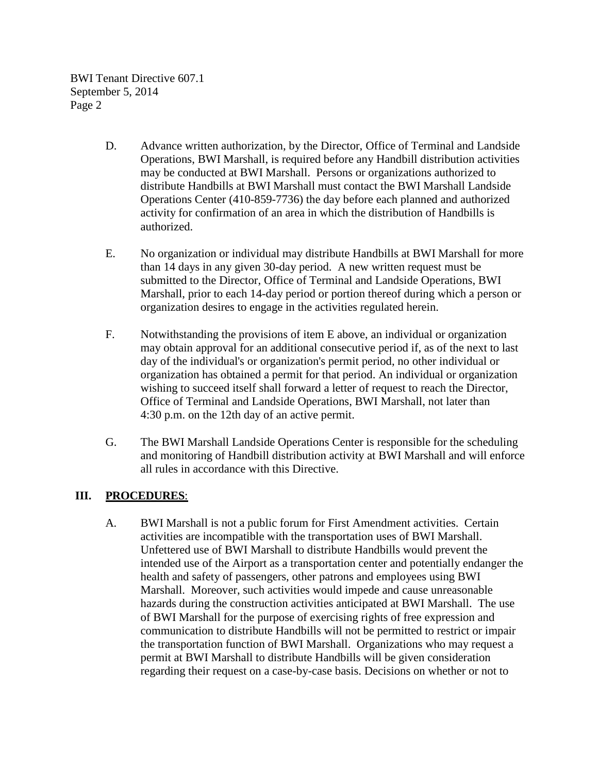- D. Advance written authorization, by the Director, Office of Terminal and Landside Operations, BWI Marshall, is required before any Handbill distribution activities may be conducted at BWI Marshall. Persons or organizations authorized to distribute Handbills at BWI Marshall must contact the BWI Marshall Landside Operations Center (410-859-7736) the day before each planned and authorized activity for confirmation of an area in which the distribution of Handbills is authorized.
- E. No organization or individual may distribute Handbills at BWI Marshall for more than 14 days in any given 30-day period. A new written request must be submitted to the Director, Office of Terminal and Landside Operations, BWI Marshall, prior to each 14-day period or portion thereof during which a person or organization desires to engage in the activities regulated herein.
- F. Notwithstanding the provisions of item E above, an individual or organization may obtain approval for an additional consecutive period if, as of the next to last day of the individual's or organization's permit period, no other individual or organization has obtained a permit for that period. An individual or organization wishing to succeed itself shall forward a letter of request to reach the Director, Office of Terminal and Landside Operations, BWI Marshall, not later than 4:30 p.m. on the 12th day of an active permit.
- G. The BWI Marshall Landside Operations Center is responsible for the scheduling and monitoring of Handbill distribution activity at BWI Marshall and will enforce all rules in accordance with this Directive.

### **III. PROCEDURES**:

A. BWI Marshall is not a public forum for First Amendment activities. Certain activities are incompatible with the transportation uses of BWI Marshall. Unfettered use of BWI Marshall to distribute Handbills would prevent the intended use of the Airport as a transportation center and potentially endanger the health and safety of passengers, other patrons and employees using BWI Marshall. Moreover, such activities would impede and cause unreasonable hazards during the construction activities anticipated at BWI Marshall. The use of BWI Marshall for the purpose of exercising rights of free expression and communication to distribute Handbills will not be permitted to restrict or impair the transportation function of BWI Marshall. Organizations who may request a permit at BWI Marshall to distribute Handbills will be given consideration regarding their request on a case-by-case basis. Decisions on whether or not to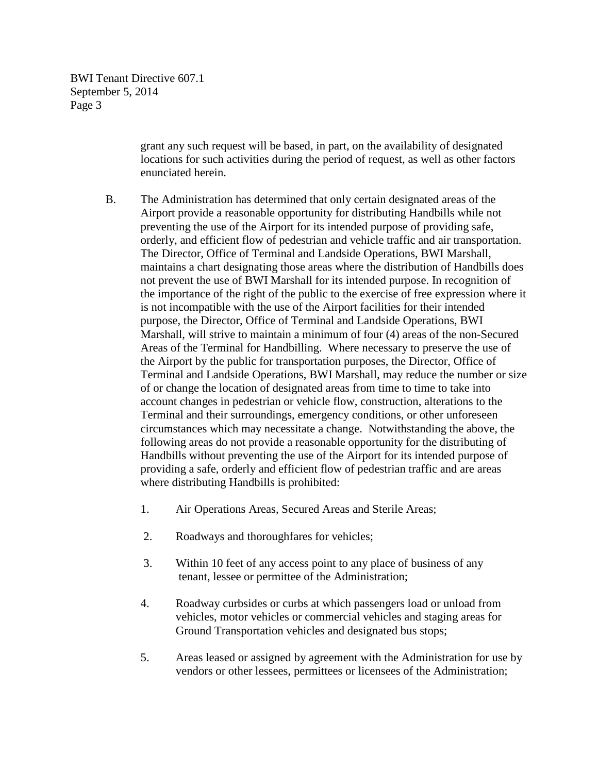> grant any such request will be based, in part, on the availability of designated locations for such activities during the period of request, as well as other factors enunciated herein.

- B. The Administration has determined that only certain designated areas of the Airport provide a reasonable opportunity for distributing Handbills while not preventing the use of the Airport for its intended purpose of providing safe, orderly, and efficient flow of pedestrian and vehicle traffic and air transportation. The Director, Office of Terminal and Landside Operations, BWI Marshall, maintains a chart designating those areas where the distribution of Handbills does not prevent the use of BWI Marshall for its intended purpose. In recognition of the importance of the right of the public to the exercise of free expression where it is not incompatible with the use of the Airport facilities for their intended purpose, the Director, Office of Terminal and Landside Operations, BWI Marshall, will strive to maintain a minimum of four (4) areas of the non-Secured Areas of the Terminal for Handbilling. Where necessary to preserve the use of the Airport by the public for transportation purposes, the Director, Office of Terminal and Landside Operations, BWI Marshall, may reduce the number or size of or change the location of designated areas from time to time to take into account changes in pedestrian or vehicle flow, construction, alterations to the Terminal and their surroundings, emergency conditions, or other unforeseen circumstances which may necessitate a change. Notwithstanding the above, the following areas do not provide a reasonable opportunity for the distributing of Handbills without preventing the use of the Airport for its intended purpose of providing a safe, orderly and efficient flow of pedestrian traffic and are areas where distributing Handbills is prohibited:
	- 1. Air Operations Areas, Secured Areas and Sterile Areas;
	- 2. Roadways and thoroughfares for vehicles;
	- 3. Within 10 feet of any access point to any place of business of any tenant, lessee or permittee of the Administration;
	- 4. Roadway curbsides or curbs at which passengers load or unload from vehicles, motor vehicles or commercial vehicles and staging areas for Ground Transportation vehicles and designated bus stops;
	- 5. Areas leased or assigned by agreement with the Administration for use by vendors or other lessees, permittees or licensees of the Administration;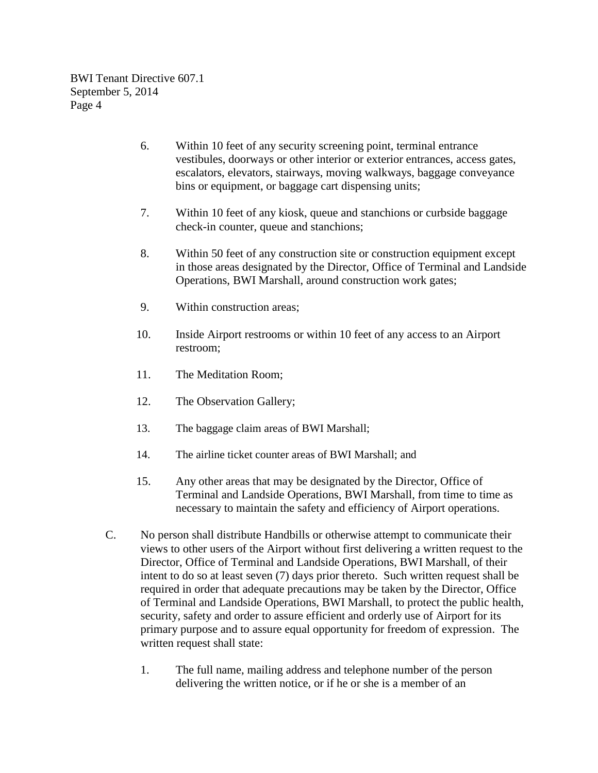- 6. Within 10 feet of any security screening point, terminal entrance vestibules, doorways or other interior or exterior entrances, access gates, escalators, elevators, stairways, moving walkways, baggage conveyance bins or equipment, or baggage cart dispensing units;
- 7. Within 10 feet of any kiosk, queue and stanchions or curbside baggage check-in counter, queue and stanchions;
- 8. Within 50 feet of any construction site or construction equipment except in those areas designated by the Director, Office of Terminal and Landside Operations, BWI Marshall, around construction work gates;
- 9. Within construction areas;
- 10. Inside Airport restrooms or within 10 feet of any access to an Airport restroom;
- 11. The Meditation Room;
- 12. The Observation Gallery;
- 13. The baggage claim areas of BWI Marshall;
- 14. The airline ticket counter areas of BWI Marshall; and
- 15. Any other areas that may be designated by the Director, Office of Terminal and Landside Operations, BWI Marshall, from time to time as necessary to maintain the safety and efficiency of Airport operations.
- C. No person shall distribute Handbills or otherwise attempt to communicate their views to other users of the Airport without first delivering a written request to the Director, Office of Terminal and Landside Operations, BWI Marshall, of their intent to do so at least seven (7) days prior thereto. Such written request shall be required in order that adequate precautions may be taken by the Director, Office of Terminal and Landside Operations, BWI Marshall, to protect the public health, security, safety and order to assure efficient and orderly use of Airport for its primary purpose and to assure equal opportunity for freedom of expression. The written request shall state:
	- 1. The full name, mailing address and telephone number of the person delivering the written notice, or if he or she is a member of an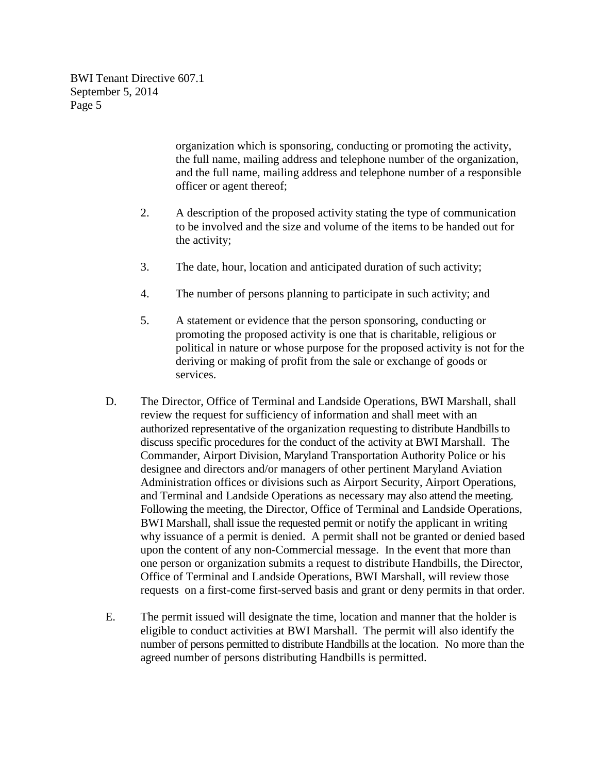> organization which is sponsoring, conducting or promoting the activity, the full name, mailing address and telephone number of the organization, and the full name, mailing address and telephone number of a responsible officer or agent thereof;

- 2. A description of the proposed activity stating the type of communication to be involved and the size and volume of the items to be handed out for the activity;
- 3. The date, hour, location and anticipated duration of such activity;
- 4. The number of persons planning to participate in such activity; and
- 5. A statement or evidence that the person sponsoring, conducting or promoting the proposed activity is one that is charitable, religious or political in nature or whose purpose for the proposed activity is not for the deriving or making of profit from the sale or exchange of goods or services.
- D. The Director, Office of Terminal and Landside Operations, BWI Marshall, shall review the request for sufficiency of information and shall meet with an authorized representative of the organization requesting to distribute Handbills to discuss specific procedures for the conduct of the activity at BWI Marshall. The Commander, Airport Division, Maryland Transportation Authority Police or his designee and directors and/or managers of other pertinent Maryland Aviation Administration offices or divisions such as Airport Security, Airport Operations, and Terminal and Landside Operations as necessary may also attend the meeting. Following the meeting, the Director, Office of Terminal and Landside Operations, BWI Marshall, shall issue the requested permit or notify the applicant in writing why issuance of a permit is denied. A permit shall not be granted or denied based upon the content of any non-Commercial message. In the event that more than one person or organization submits a request to distribute Handbills, the Director, Office of Terminal and Landside Operations, BWI Marshall, will review those requests on a first-come first-served basis and grant or deny permits in that order.
- E. The permit issued will designate the time, location and manner that the holder is eligible to conduct activities at BWI Marshall. The permit will also identify the number of persons permitted to distribute Handbills at the location. No more than the agreed number of persons distributing Handbills is permitted.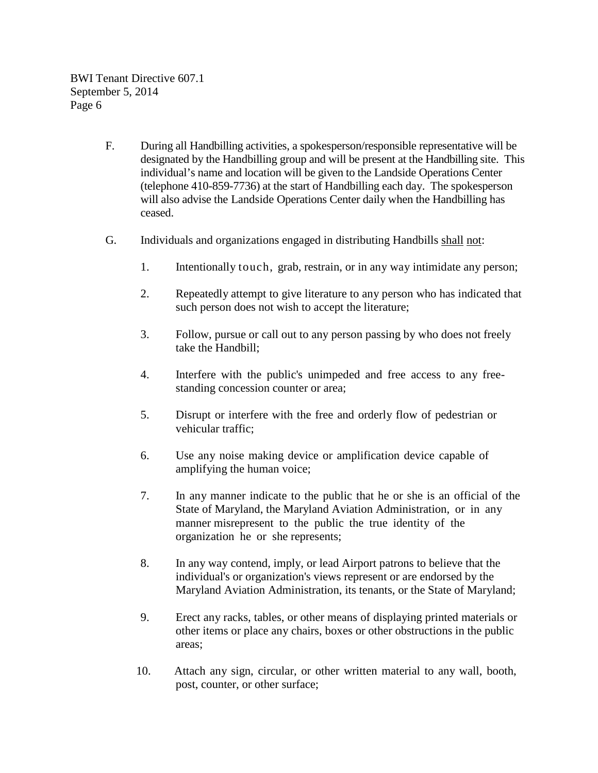- F. During all Handbilling activities, a spokesperson/responsible representative will be designated by the Handbilling group and will be present at the Handbilling site. This individual's name and location will be given to the Landside Operations Center (telephone 410-859-7736) at the start of Handbilling each day. The spokesperson will also advise the Landside Operations Center daily when the Handbilling has ceased.
- G. Individuals and organizations engaged in distributing Handbills shall not:
	- 1. Intentionally touch, grab, restrain, or in any way intimidate any person;
	- 2. Repeatedly attempt to give literature to any person who has indicated that such person does not wish to accept the literature;
	- 3. Follow, pursue or call out to any person passing by who does not freely take the Handbill;
	- 4. Interfere with the public's unimpeded and free access to any freestanding concession counter or area;
	- 5. Disrupt or interfere with the free and orderly flow of pedestrian or vehicular traffic;
	- 6. Use any noise making device or amplification device capable of amplifying the human voice;
	- 7. In any manner indicate to the public that he or she is an official of the State of Maryland, the Maryland Aviation Administration, or in any manner misrepresent to the public the true identity of the organization he or she represents;
	- 8. In any way contend, imply, or lead Airport patrons to believe that the individual's or organization's views represent or are endorsed by the Maryland Aviation Administration, its tenants, or the State of Maryland;
	- 9. Erect any racks, tables, or other means of displaying printed materials or other items or place any chairs, boxes or other obstructions in the public areas;
	- 10. Attach any sign, circular, or other written material to any wall, booth, post, counter, or other surface;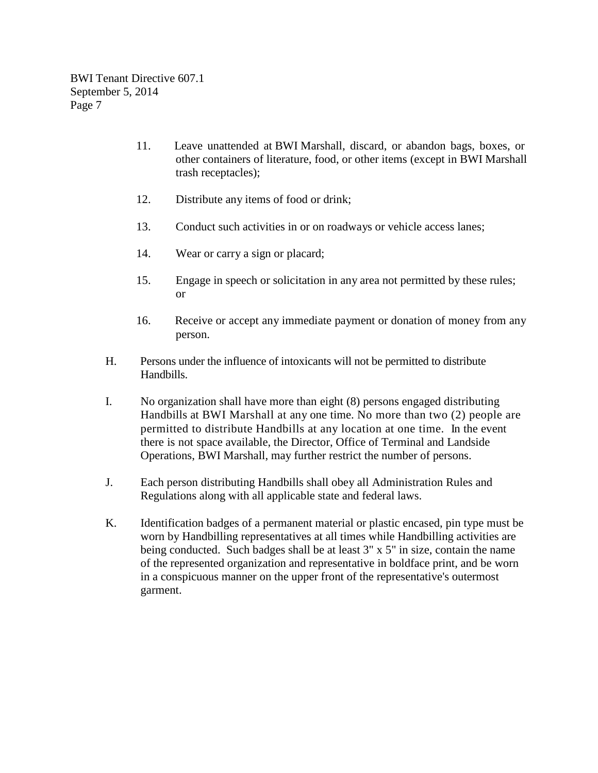- 11. Leave unattended at BWI Marshall, discard, or abandon bags, boxes, or other containers of literature, food, or other items (except in BWI Marshall trash receptacles);
- 12. Distribute any items of food or drink;
- 13. Conduct such activities in or on roadways or vehicle access lanes;
- 14. Wear or carry a sign or placard;
- 15. Engage in speech or solicitation in any area not permitted by these rules; or
- 16. Receive or accept any immediate payment or donation of money from any person.
- H. Persons under the influence of intoxicants will not be permitted to distribute Handbills.
- I. No organization shall have more than eight (8) persons engaged distributing Handbills at BWI Marshall at any one time. No more than two (2) people are permitted to distribute Handbills at any location at one time. In the event there is not space available, the Director, Office of Terminal and Landside Operations, BWI Marshall, may further restrict the number of persons.
- J. Each person distributing Handbills shall obey all Administration Rules and Regulations along with all applicable state and federal laws.
- K. Identification badges of a permanent material or plastic encased, pin type must be worn by Handbilling representatives at all times while Handbilling activities are being conducted. Such badges shall be at least 3" x 5" in size, contain the name of the represented organization and representative in boldface print, and be worn in a conspicuous manner on the upper front of the representative's outermost garment.